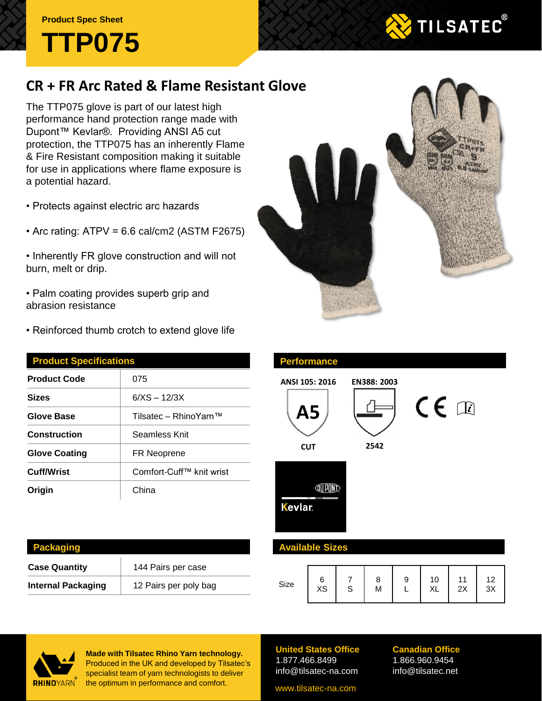### **Product Spec Sheet**



# **TILSATEC®**

## **CR + FR Arc Rated & Flame Resistant Glove**

The TTP075 glove is part of our latest high performance hand protection range made with Dupont™ Kevlar®. Providing ANSI A5 cut protection, the TTP075 has an inherently Flame & Fire Resistant composition making it suitable for use in applications where flame exposure is a potential hazard.

- Protects against electric arc hazards
- Arc rating: ATPV = 6.6 cal/cm2 (ASTM F2675)
- Inherently FR glove construction and will not burn, melt or drip.
- Palm coating provides superb grip and abrasion resistance
- Reinforced thumb crotch to extend glove life

| 075<br>$6/XS - 12/3X$<br>Tilsatec – RhinoYarn™ |  |  |               |  |  |
|------------------------------------------------|--|--|---------------|--|--|
|                                                |  |  | Seamless Knit |  |  |
|                                                |  |  | FR Neoprene   |  |  |
| Comfort-Cuff™ knit wrist                       |  |  |               |  |  |
| China                                          |  |  |               |  |  |
|                                                |  |  |               |  |  |



| ANSI 105: 2016<br><b>A5</b><br><b>CUT</b> | EN388: 2003<br>2542 | $\mathsf{CE} \ \mathbb{R}$ |  |
|-------------------------------------------|---------------------|----------------------------|--|
| Kevlar.                                   |                     |                            |  |
| <b>Available Sizes</b>                    |                     |                            |  |
|                                           |                     |                            |  |

| <b>Packaging</b>          |                       |
|---------------------------|-----------------------|
| <b>Case Quantity</b>      | 144 Pairs per case    |
| <b>Internal Packaging</b> | 12 Pairs per poly bag |

| Size | XS | c | 8<br>M | 9 | 10<br>XL | 11<br>2X | 12<br>3X |
|------|----|---|--------|---|----------|----------|----------|



**Made with Tilsatec Rhino Yarn technology.**  Produced in the UK and developed by Tilsatec's specialist team of yarn technologists to deliver the optimum in performance and comfort.

**United States Office** 1.877.466.8499 info@tilsatec-na.com

**Performance**

#### **Canadian Office** 1.866.960.9454 info@tilsatec.net

www.tilsatec-na.com